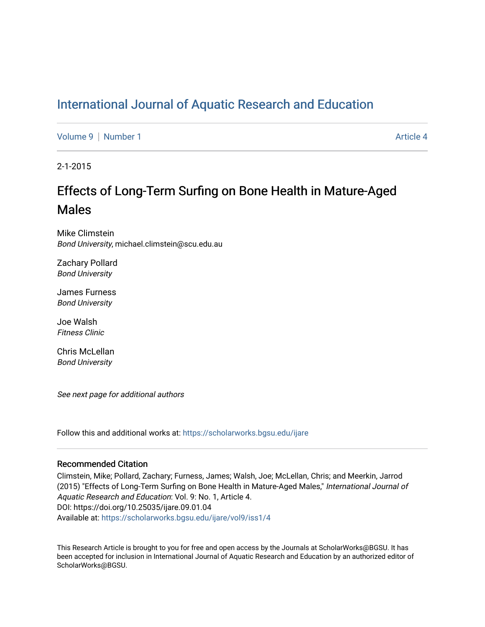# [International Journal of Aquatic Research and Education](https://scholarworks.bgsu.edu/ijare)

[Volume 9](https://scholarworks.bgsu.edu/ijare/vol9) | [Number 1](https://scholarworks.bgsu.edu/ijare/vol9/iss1) Article 4

2-1-2015

# Effects of Long-Term Surfing on Bone Health in Mature-Aged Males

Mike Climstein Bond University, michael.climstein@scu.edu.au

Zachary Pollard Bond University

James Furness Bond University

Joe Walsh Fitness Clinic

Chris McLellan Bond University

See next page for additional authors

Follow this and additional works at: [https://scholarworks.bgsu.edu/ijare](https://scholarworks.bgsu.edu/ijare?utm_source=scholarworks.bgsu.edu%2Fijare%2Fvol9%2Fiss1%2F4&utm_medium=PDF&utm_campaign=PDFCoverPages) 

### Recommended Citation

Climstein, Mike; Pollard, Zachary; Furness, James; Walsh, Joe; McLellan, Chris; and Meerkin, Jarrod (2015) "Effects of Long-Term Surfing on Bone Health in Mature-Aged Males," International Journal of Aquatic Research and Education: Vol. 9: No. 1, Article 4. DOI: https://doi.org/10.25035/ijare.09.01.04 Available at: [https://scholarworks.bgsu.edu/ijare/vol9/iss1/4](https://scholarworks.bgsu.edu/ijare/vol9/iss1/4?utm_source=scholarworks.bgsu.edu%2Fijare%2Fvol9%2Fiss1%2F4&utm_medium=PDF&utm_campaign=PDFCoverPages) 

This Research Article is brought to you for free and open access by the Journals at ScholarWorks@BGSU. It has been accepted for inclusion in International Journal of Aquatic Research and Education by an authorized editor of ScholarWorks@BGSU.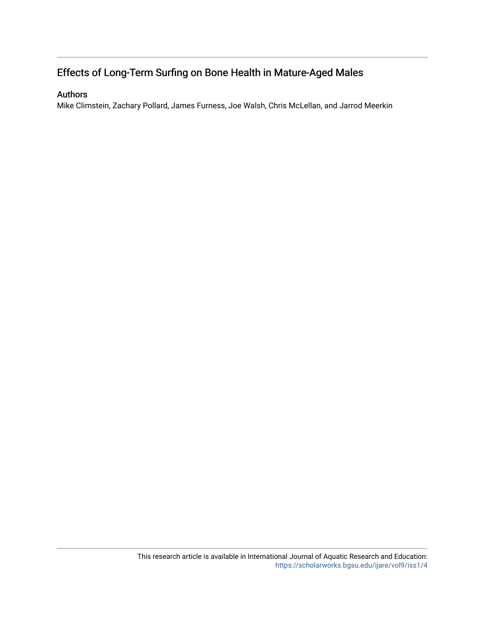# Effects of Long-Term Surfing on Bone Health in Mature-Aged Males

# Authors

Mike Climstein, Zachary Pollard, James Furness, Joe Walsh, Chris McLellan, and Jarrod Meerkin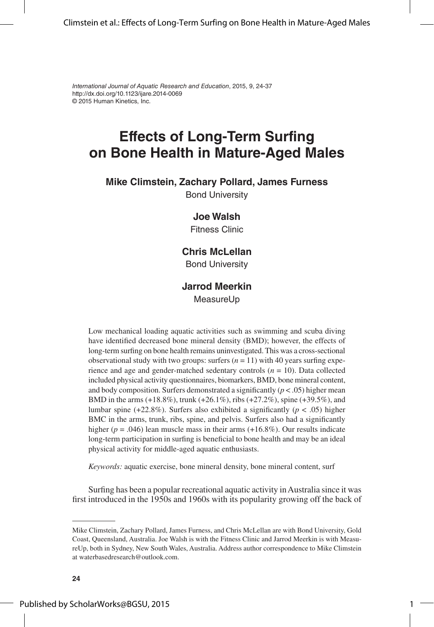*International Journal of Aquatic Research and Education*, 2015, 9, 24-37 http://dx.doi.org/10.1123/ijare.2014-0069 © 2015 Human Kinetics, Inc.

# **Effects of Long-Term Surfing on Bone Health in Mature-Aged Males**

### **Mike Climstein, Zachary Pollard, James Furness**

Bond University

#### **Joe Walsh**

Fitness Clinic

# **Chris McLellan**

Bond University

## **Jarrod Meerkin**

MeasureUp

Low mechanical loading aquatic activities such as swimming and scuba diving have identified decreased bone mineral density (BMD); however, the effects of long-term surfing on bone health remains uninvestigated. This was a cross-sectional observational study with two groups: surfers  $(n = 11)$  with 40 years surfing experience and age and gender-matched sedentary controls (*n* = 10). Data collected included physical activity questionnaires, biomarkers, BMD, bone mineral content, and body composition. Surfers demonstrated a significantly  $(p < .05)$  higher mean BMD in the arms (+18.8%), trunk (+26.1%), ribs (+27.2%), spine (+39.5%), and lumbar spine (+22.8%). Surfers also exhibited a significantly ( $p < .05$ ) higher BMC in the arms, trunk, ribs, spine, and pelvis. Surfers also had a significantly higher ( $p = .046$ ) lean muscle mass in their arms ( $+16.8\%$ ). Our results indicate long-term participation in surfing is beneficial to bone health and may be an ideal physical activity for middle-aged aquatic enthusiasts.

*Keywords:* aquatic exercise, bone mineral density, bone mineral content, surf

Surfing has been a popular recreational aquatic activity in Australia since it was first introduced in the 1950s and 1960s with its popularity growing off the back of

Mike Climstein, Zachary Pollard, James Furness, and Chris McLellan are with Bond University, Gold Coast, Queensland, Australia. Joe Walsh is with the Fitness Clinic and Jarrod Meerkin is with MeasureUp, both in Sydney, New South Wales, Australia. Address author correspondence to Mike Climstein at waterbasedresearch@outlook.com.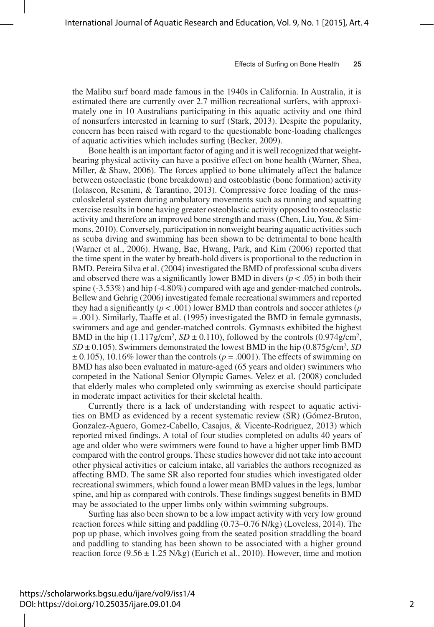the Malibu surf board made famous in the 1940s in California. In Australia, it is estimated there are currently over 2.7 million recreational surfers, with approximately one in 10 Australians participating in this aquatic activity and one third of nonsurfers interested in learning to surf (Stark, 2013). Despite the popularity, concern has been raised with regard to the questionable bone-loading challenges of aquatic activities which includes surfing (Becker, 2009).

Bone health is an important factor of aging and it is well recognized that weightbearing physical activity can have a positive effect on bone health (Warner, Shea, Miller, & Shaw, 2006). The forces applied to bone ultimately affect the balance between osteoclastic (bone breakdown) and osteoblastic (bone formation) activity (Iolascon, Resmini, & Tarantino, 2013). Compressive force loading of the musculoskeletal system during ambulatory movements such as running and squatting exercise results in bone having greater osteoblastic activity opposed to osteoclastic activity and therefore an improved bone strength and mass (Chen, Liu, You, & Simmons, 2010). Conversely, participation in nonweight bearing aquatic activities such as scuba diving and swimming has been shown to be detrimental to bone health (Warner et al., 2006). Hwang, Bae, Hwang, Park, and Kim (2006) reported that the time spent in the water by breath-hold divers is proportional to the reduction in BMD. Pereira Silva et al. (2004) investigated the BMD of professional scuba divers and observed there was a significantly lower BMD in divers ( $p < .05$ ) in both their spine (-3.53%) and hip (-4.80%) compared with age and gender-matched controls**.** Bellew and Gehrig (2006) investigated female recreational swimmers and reported they had a significantly ( $p < .001$ ) lower BMD than controls and soccer athletes ( $p$ ) = .001). Similarly, Taaffe et al. (1995) investigated the BMD in female gymnasts, swimmers and age and gender-matched controls. Gymnasts exhibited the highest BMD in the hip  $(1.117g/cm^2, SD \pm 0.110)$ , followed by the controls  $(0.974g/cm^2,$  $SD \pm 0.105$ ). Swimmers demonstrated the lowest BMD in the hip  $(0.875g/cm^2, SD$  $\pm$  0.105), 10.16% lower than the controls ( $p = .0001$ ). The effects of swimming on BMD has also been evaluated in mature-aged (65 years and older) swimmers who competed in the National Senior Olympic Games. Velez et al. (2008) concluded that elderly males who completed only swimming as exercise should participate in moderate impact activities for their skeletal health.

Currently there is a lack of understanding with respect to aquatic activities on BMD as evidenced by a recent systematic review (SR) (Gómez-Bruton, Gonzalez-Aguero, Gomez-Cabello, Casajus, & Vicente-Rodriguez, 2013) which reported mixed findings. A total of four studies completed on adults 40 years of age and older who were swimmers were found to have a higher upper limb BMD compared with the control groups. These studies however did not take into account other physical activities or calcium intake, all variables the authors recognized as affecting BMD. The same SR also reported four studies which investigated older recreational swimmers, which found a lower mean BMD values in the legs, lumbar spine, and hip as compared with controls. These findings suggest benefits in BMD may be associated to the upper limbs only within swimming subgroups.

Surfing has also been shown to be a low impact activity with very low ground reaction forces while sitting and paddling (0.73–0.76 N/kg) (Loveless, 2014). The pop up phase, which involves going from the seated position straddling the board and paddling to standing has been shown to be associated with a higher ground reaction force  $(9.56 \pm 1.25 \text{ N/kg})$  (Eurich et al., 2010). However, time and motion

2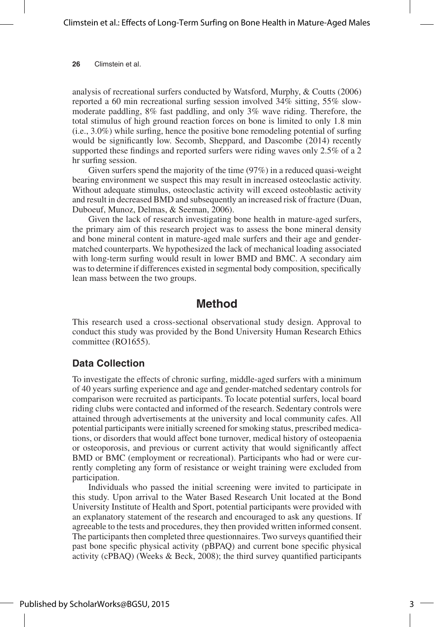analysis of recreational surfers conducted by Watsford, Murphy, & Coutts (2006) reported a 60 min recreational surfing session involved 34% sitting, 55% slowmoderate paddling, 8% fast paddling, and only 3% wave riding. Therefore, the total stimulus of high ground reaction forces on bone is limited to only 1.8 min (i.e., 3.0%) while surfing, hence the positive bone remodeling potential of surfing would be significantly low. Secomb, Sheppard, and Dascombe (2014) recently supported these findings and reported surfers were riding waves only 2.5% of a 2 hr surfing session.

Given surfers spend the majority of the time (97%) in a reduced quasi-weight bearing environment we suspect this may result in increased osteoclastic activity. Without adequate stimulus, osteoclastic activity will exceed osteoblastic activity and result in decreased BMD and subsequently an increased risk of fracture (Duan, Duboeuf, Munoz, Delmas, & Seeman, 2006).

Given the lack of research investigating bone health in mature-aged surfers, the primary aim of this research project was to assess the bone mineral density and bone mineral content in mature-aged male surfers and their age and gendermatched counterparts. We hypothesized the lack of mechanical loading associated with long-term surfing would result in lower BMD and BMC. A secondary aim was to determine if differences existed in segmental body composition, specifically lean mass between the two groups.

# **Method**

This research used a cross-sectional observational study design. Approval to conduct this study was provided by the Bond University Human Research Ethics committee (RO1655).

### **Data Collection**

To investigate the effects of chronic surfing, middle-aged surfers with a minimum of 40 years surfing experience and age and gender-matched sedentary controls for comparison were recruited as participants. To locate potential surfers, local board riding clubs were contacted and informed of the research. Sedentary controls were attained through advertisements at the university and local community cafes. All potential participants were initially screened for smoking status, prescribed medications, or disorders that would affect bone turnover, medical history of osteopaenia or osteoporosis, and previous or current activity that would significantly affect BMD or BMC (employment or recreational). Participants who had or were currently completing any form of resistance or weight training were excluded from participation.

Individuals who passed the initial screening were invited to participate in this study. Upon arrival to the Water Based Research Unit located at the Bond University Institute of Health and Sport, potential participants were provided with an explanatory statement of the research and encouraged to ask any questions. If agreeable to the tests and procedures, they then provided written informed consent. The participants then completed three questionnaires. Two surveys quantified their past bone specific physical activity (pBPAQ) and current bone specific physical activity (cPBAQ) (Weeks  $\&$  Beck, 2008); the third survey quantified participants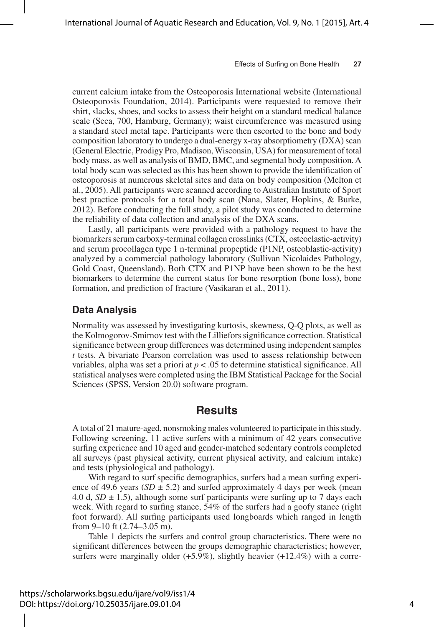current calcium intake from the Osteoporosis International website (International Osteoporosis Foundation, 2014). Participants were requested to remove their shirt, slacks, shoes, and socks to assess their height on a standard medical balance scale (Seca, 700, Hamburg, Germany); waist circumference was measured using a standard steel metal tape. Participants were then escorted to the bone and body composition laboratory to undergo a dual-energy x-ray absorptiometry (DXA) scan (General Electric, Prodigy Pro, Madison, Wisconsin, USA) for measurement of total body mass, as well as analysis of BMD, BMC, and segmental body composition. A total body scan was selected as this has been shown to provide the identification of osteoporosis at numerous skeletal sites and data on body composition (Melton et al., 2005). All participants were scanned according to Australian Institute of Sport best practice protocols for a total body scan (Nana, Slater, Hopkins, & Burke, 2012). Before conducting the full study, a pilot study was conducted to determine the reliability of data collection and analysis of the DXA scans.

Lastly, all participants were provided with a pathology request to have the biomarkers serum carboxy-terminal collagen crosslinks (CTX, osteoclastic-activity) and serum procollagen type 1 n-terminal propeptide (P1NP, osteoblastic-activity) analyzed by a commercial pathology laboratory (Sullivan Nicolaides Pathology, Gold Coast, Queensland). Both CTX and P1NP have been shown to be the best biomarkers to determine the current status for bone resorption (bone loss), bone formation, and prediction of fracture (Vasikaran et al., 2011).

### **Data Analysis**

Normality was assessed by investigating kurtosis, skewness, Q-Q plots, as well as the Kolmogorov-Smirnov test with the Lilliefors significance correction. Statistical significance between group differences was determined using independent samples *t* tests. A bivariate Pearson correlation was used to assess relationship between variables, alpha was set a priori at *p* < .05 to determine statistical significance. All statistical analyses were completed using the IBM Statistical Package for the Social Sciences (SPSS, Version 20.0) software program.

### **Results**

A total of 21 mature-aged, nonsmoking males volunteered to participate in this study. Following screening, 11 active surfers with a minimum of 42 years consecutive surfing experience and 10 aged and gender-matched sedentary controls completed all surveys (past physical activity, current physical activity, and calcium intake) and tests (physiological and pathology).

With regard to surf specific demographics, surfers had a mean surfing experience of 49.6 years  $(SD \pm 5.2)$  and surfed approximately 4 days per week (mean 4.0 d,  $SD \pm 1.5$ ), although some surf participants were surfing up to 7 days each week. With regard to surfing stance, 54% of the surfers had a goofy stance (right foot forward). All surfing participants used longboards which ranged in length from 9–10 ft (2.74–3.05 m).

Table 1 depicts the surfers and control group characteristics. There were no significant differences between the groups demographic characteristics; however, surfers were marginally older (+5.9%), slightly heavier (+12.4%) with a corre-

4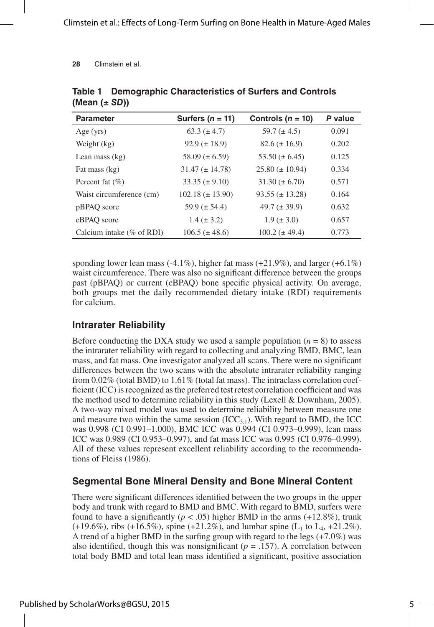| <b>Parameter</b>          | Surfers $(n = 11)$     | Controls $(n = 10)$   | P value |
|---------------------------|------------------------|-----------------------|---------|
| Age $(yrs)$               | $63.3 (\pm 4.7)$       | 59.7 $(\pm 4.5)$      | 0.091   |
| Weight (kg)               | $92.9 \ (\pm 18.9)$    | $82.6 (\pm 16.9)$     | 0.202   |
| Lean mass $(kg)$          | $58.09 \ (\pm 6.59)$   | $53.50 \ (\pm 6.45)$  | 0.125   |
| Fat mass (kg)             | $31.47 \ (\pm 14.78)$  | $25.80 \ (\pm 10.94)$ | 0.334   |
| Percent fat $(\% )$       | $33.35 \ (\pm 9.10)$   | $31.30 \ (\pm 6.70)$  | 0.571   |
| Waist circumference (cm)  | $102.18 \ (\pm 13.90)$ | $93.55 \ (\pm 13.28)$ | 0.164   |
| pBPAQ score               | 59.9 $(\pm 54.4)$      | 49.7 $(\pm 39.9)$     | 0.632   |
| cBPAQ score               | $1.4 (\pm 3.2)$        | $1.9 \ (\pm 3.0)$     | 0.657   |
| Calcium intake (% of RDI) | $106.5 (\pm 48.6)$     | $100.2 (\pm 49.4)$    | 0.773   |

**Table 1 Demographic Characteristics of Surfers and Controls (Mean (±** *SD***))**

sponding lower lean mass  $(-4.1\%)$ , higher fat mass  $(+21.9\%)$ , and larger  $(+6.1\%)$ waist circumference. There was also no significant difference between the groups past (pBPAQ) or current (cBPAQ) bone specific physical activity. On average, both groups met the daily recommended dietary intake (RDI) requirements for calcium.

## **Intrarater Reliability**

Before conducting the DXA study we used a sample population  $(n = 8)$  to assess the intrarater reliability with regard to collecting and analyzing BMD, BMC, lean mass, and fat mass. One investigator analyzed all scans. There were no significant differences between the two scans with the absolute intrarater reliability ranging from 0.02% (total BMD) to 1.61% (total fat mass). The intraclass correlation coefficient (ICC) is recognized as the preferred test retest correlation coefficient and was the method used to determine reliability in this study (Lexell & Downham, 2005). A two-way mixed model was used to determine reliability between measure one and measure two within the same session  $(ICC_{3,1})$ . With regard to BMD, the ICC was 0.998 (CI 0.991–1.000), BMC ICC was 0.994 (CI 0.973–0.999), lean mass ICC was 0.989 (CI 0.953–0.997), and fat mass ICC was 0.995 (CI 0.976–0.999). All of these values represent excellent reliability according to the recommendations of Fleiss (1986).

## **Segmental Bone Mineral Density and Bone Mineral Content**

There were significant differences identified between the two groups in the upper body and trunk with regard to BMD and BMC. With regard to BMD, surfers were found to have a significantly ( $p < .05$ ) higher BMD in the arms (+12.8%), trunk  $(+19.6\%)$ , ribs  $(+16.5\%)$ , spine  $(+21.2\%)$ , and lumbar spine  $(L_1$  to  $L_4$ ,  $+21.2\%)$ . A trend of a higher BMD in the surfing group with regard to the legs  $(+7.0\%)$  was also identified, though this was nonsignificant  $(p = .157)$ . A correlation between total body BMD and total lean mass identified a significant, positive association

**<sup>28</sup>** Climstein et al.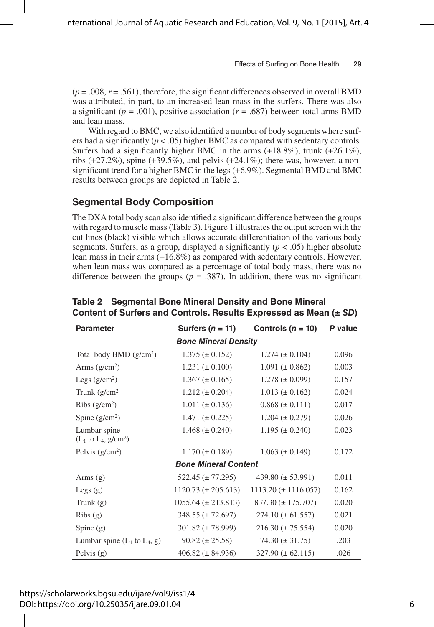$(p = .008, r = .561)$ ; therefore, the significant differences observed in overall BMD was attributed, in part, to an increased lean mass in the surfers. There was also a significant ( $p = .001$ ), positive association ( $r = .687$ ) between total arms BMD and lean mass.

With regard to BMC, we also identified a number of body segments where surfers had a significantly  $(p < .05)$  higher BMC as compared with sedentary controls. Surfers had a significantly higher BMC in the arms  $(+18.8\%)$ , trunk  $(+26.1\%)$ , ribs  $(+27.2\%)$ , spine  $(+39.5\%)$ , and pelvis  $(+24.1\%)$ ; there was, however, a nonsignificant trend for a higher BMC in the legs (+6.9%). Segmental BMD and BMC results between groups are depicted in Table 2.

### **Segmental Body Composition**

The DXA total body scan also identified a significant difference between the groups with regard to muscle mass (Table 3). Figure 1 illustrates the output screen with the cut lines (black) visible which allows accurate differentiation of the various body segments. Surfers, as a group, displayed a significantly  $(p < .05)$  higher absolute lean mass in their arms (+16.8%) as compared with sedentary controls. However, when lean mass was compared as a percentage of total body mass, there was no difference between the groups ( $p = .387$ ). In addition, there was no significant

| <b>Parameter</b>                                        | Surfers $(n = 11)$        | Controls $(n = 10)$              | P value |  |  |
|---------------------------------------------------------|---------------------------|----------------------------------|---------|--|--|
| <b>Bone Mineral Density</b>                             |                           |                                  |         |  |  |
| Total body BMD (g/cm <sup>2</sup> )                     | $1.375 \ (\pm 0.152)$     | $1.274 \ (\pm 0.104)$            | 0.096   |  |  |
| Arms $(g/cm2)$                                          | $1.231 \ (\pm 0.100)$     | $1.091 (\pm 0.862)$              | 0.003   |  |  |
| Legs $(g/cm2)$                                          | $1.367 \ (\pm 0.165)$     | $1.278 \ (\pm 0.099)$            | 0.157   |  |  |
| Trunk $(g/cm2)$                                         | $1.212 \ (\pm 0.204)$     | $1.013 \ (\pm 0.162)$            | 0.024   |  |  |
| Ribs $(g/cm^2)$                                         | $1.011 (\pm 0.136)$       | $0.868 \left( \pm 0.111 \right)$ | 0.017   |  |  |
| Spine $(g/cm2)$                                         | $1.471 (\pm 0.225)$       | $1.204 \ (\pm 0.279)$            | 0.026   |  |  |
| Lumbar spine<br>$(L_1 \text{ to } L_4, \text{ g/cm}^2)$ | $1.468 \ (\pm 0.240)$     | $1.195 \ (\pm 0.240)$            | 0.023   |  |  |
| Pelvis $(g/cm^2)$                                       | $1.170 \ (\pm 0.189)$     | $1.063 \ (\pm 0.149)$            | 0.172   |  |  |
| <b>Bone Mineral Content</b>                             |                           |                                  |         |  |  |
| Arms $(g)$                                              | $522.45 \ (\pm 77.295)$   | $439.80 \ (\pm 53.991)$          | 0.011   |  |  |
| Legs $(g)$                                              | $1120.73 \ (\pm 205.613)$ | $1113.20 \ (\pm 1116.057)$       | 0.162   |  |  |
| Trunk $(g)$                                             | $1055.64 \ (\pm 213.813)$ | $837.30 \ (\pm 175.707)$         | 0.020   |  |  |
| Ribs(g)                                                 | $348.55 (\pm 72.697)$     | $274.10 \ (\pm 61.557)$          | 0.021   |  |  |
| Spine (g)                                               | $301.82 \ (\pm 78.999)$   | $216.30 \ (\pm 75.554)$          | 0.020   |  |  |
| Lumbar spine $(L_1$ to $L_4$ , g)                       | $90.82 \ (\pm 25.58)$     | $74.30 \ (\pm 31.75)$            | .203    |  |  |
| Pelvis $(g)$                                            | $406.82 \ (\pm 84.936)$   | $327.90 \ (\pm 62.115)$          | .026    |  |  |

**Table 2 Segmental Bone Mineral Density and Bone Mineral Content of Surfers and Controls. Results Expressed as Mean (±** *SD***)**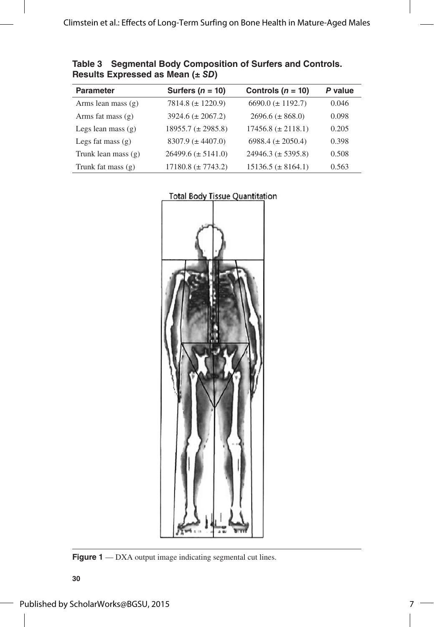| <b>Parameter</b>      | Surfers $(n = 10)$      | Controls $(n = 10)$     | P value |
|-----------------------|-------------------------|-------------------------|---------|
| Arms lean mass $(g)$  | $7814.8 \ (\pm 1220.9)$ | $6690.0 \ (\pm 1192.7)$ | 0.046   |
| Arms fat mass (g)     | $3924.6 (\pm 2067.2)$   | $2696.6 (\pm 868.0)$    | 0.098   |
| Legs lean mass $(g)$  | $18955.7 (\pm 2985.8)$  | $17456.8 (\pm 2118.1)$  | 0.205   |
| Legs fat mass $(g)$   | $8307.9 \ (\pm 4407.0)$ | $6988.4 (\pm 2050.4)$   | 0.398   |
| Trunk lean mass $(g)$ | $26499.6 (\pm 5141.0)$  | $24946.3 (\pm 5395.8)$  | 0.508   |
| Trunk fat mass (g)    | $17180.8 (\pm 7743.2)$  | $15136.5 (\pm 8164.1)$  | 0.563   |

**Table 3 Segmental Body Composition of Surfers and Controls. Results Expressed as Mean (±** *SD***)**

# **Total Body Tissue Quantitation**



**Figure 1** — DXA output image indicating segmental cut lines.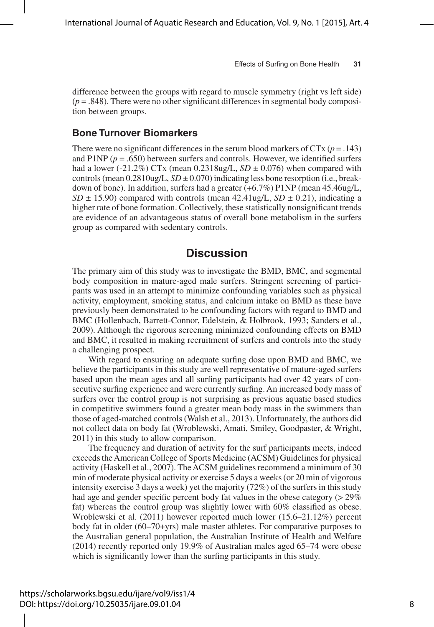difference between the groups with regard to muscle symmetry (right vs left side)  $(p = .848)$ . There were no other significant differences in segmental body composition between groups.

#### **Bone Turnover Biomarkers**

There were no significant differences in the serum blood markers of  $CTx (p = .143)$ and P1NP ( $p = .650$ ) between surfers and controls. However, we identified surfers had a lower (-21.2%) CTx (mean 0.2318ug/L,  $SD \pm 0.076$ ) when compared with controls (mean  $0.2810$ ug/L,  $SD \pm 0.070$ ) indicating less bone resorption (i.e., breakdown of bone). In addition, surfers had a greater (+6.7%) P1NP (mean 45.46ug/L,  $SD \pm 15.90$ ) compared with controls (mean 42.41ug/L,  $SD \pm 0.21$ ), indicating a higher rate of bone formation. Collectively, these statistically nonsignificant trends are evidence of an advantageous status of overall bone metabolism in the surfers group as compared with sedentary controls.

## **Discussion**

The primary aim of this study was to investigate the BMD, BMC, and segmental body composition in mature-aged male surfers. Stringent screening of participants was used in an attempt to minimize confounding variables such as physical activity, employment, smoking status, and calcium intake on BMD as these have previously been demonstrated to be confounding factors with regard to BMD and BMC (Hollenbach, Barrett-Connor, Edelstein, & Holbrook, 1993; Sanders et al., 2009). Although the rigorous screening minimized confounding effects on BMD and BMC, it resulted in making recruitment of surfers and controls into the study a challenging prospect.

With regard to ensuring an adequate surfing dose upon BMD and BMC, we believe the participants in this study are well representative of mature-aged surfers based upon the mean ages and all surfing participants had over 42 years of consecutive surfing experience and were currently surfing. An increased body mass of surfers over the control group is not surprising as previous aquatic based studies in competitive swimmers found a greater mean body mass in the swimmers than those of aged-matched controls (Walsh et al., 2013). Unfortunately, the authors did not collect data on body fat (Wroblewski, Amati, Smiley, Goodpaster, & Wright, 2011) in this study to allow comparison.

The frequency and duration of activity for the surf participants meets, indeed exceeds the American College of Sports Medicine (ACSM) Guidelines for physical activity (Haskell et al., 2007). The ACSM guidelines recommend a minimum of 30 min of moderate physical activity or exercise 5 days a weeks (or 20 min of vigorous intensity exercise 3 days a week) yet the majority (72%) of the surfers in this study had age and gender specific percent body fat values in the obese category ( $> 29\%$ ) fat) whereas the control group was slightly lower with 60% classified as obese. Wroblewski et al. (2011) however reported much lower (15.6–21.12%) percent body fat in older (60–70+yrs) male master athletes. For comparative purposes to the Australian general population, the Australian Institute of Health and Welfare (2014) recently reported only 19.9% of Australian males aged 65–74 were obese which is significantly lower than the surfing participants in this study.

https://scholarworks.bgsu.edu/ijare/vol9/iss1/4 DOI: https://doi.org/10.25035/ijare.09.01.04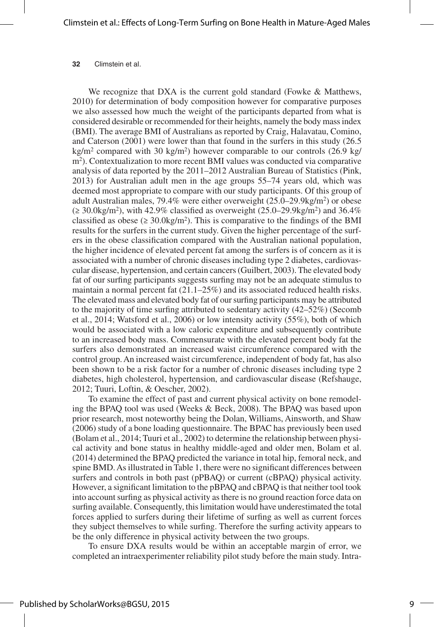We recognize that DXA is the current gold standard (Fowke & Matthews, 2010) for determination of body composition however for comparative purposes we also assessed how much the weight of the participants departed from what is considered desirable or recommended for their heights, namely the body mass index (BMI). The average BMI of Australians as reported by Craig, Halavatau, Comino, and Caterson (2001) were lower than that found in the surfers in this study (26.5 kg/m<sup>2</sup> compared with 30 kg/m<sup>2</sup>) however comparable to our controls  $(26.9 \text{ kg})$ m2). Contextualization to more recent BMI values was conducted via comparative analysis of data reported by the 2011–2012 Australian Bureau of Statistics (Pink, 2013) for Australian adult men in the age groups 55–74 years old, which was deemed most appropriate to compare with our study participants. Of this group of adult Australian males, 79.4% were either overweight  $(25.0-29.9kg/m<sup>2</sup>)$  or obese  $(\geq 30.0 \text{kg/m}^2)$ , with 42.9% classified as overweight  $(25.0-29.9 \text{kg/m}^2)$  and 36.4% classified as obese ( $\geq 30.0 \text{kg/m}^2$ ). This is comparative to the findings of the BMI results for the surfers in the current study. Given the higher percentage of the surfers in the obese classification compared with the Australian national population, the higher incidence of elevated percent fat among the surfers is of concern as it is associated with a number of chronic diseases including type 2 diabetes, cardiovascular disease, hypertension, and certain cancers (Guilbert, 2003). The elevated body fat of our surfing participants suggests surfing may not be an adequate stimulus to maintain a normal percent fat  $(21.1–25%)$  and its associated reduced health risks. The elevated mass and elevated body fat of our surfing participants may be attributed to the majority of time surfing attributed to sedentary activity (42–52%) (Secomb et al., 2014; Watsford et al., 2006) or low intensity activity (55%), both of which would be associated with a low caloric expenditure and subsequently contribute to an increased body mass. Commensurate with the elevated percent body fat the surfers also demonstrated an increased waist circumference compared with the control group. An increased waist circumference, independent of body fat, has also been shown to be a risk factor for a number of chronic diseases including type 2 diabetes, high cholesterol, hypertension, and cardiovascular disease (Refshauge, 2012; Tuuri, Loftin, & Oescher, 2002).

To examine the effect of past and current physical activity on bone remodeling the BPAQ tool was used (Weeks & Beck, 2008). The BPAQ was based upon prior research, most noteworthy being the Dolan, Williams, Ainsworth, and Shaw (2006) study of a bone loading questionnaire. The BPAC has previously been used (Bolam et al., 2014; Tuuri et al., 2002) to determine the relationship between physical activity and bone status in healthy middle-aged and older men, Bolam et al. (2014) determined the BPAQ predicted the variance in total hip, femoral neck, and spine BMD. As illustrated in Table 1, there were no significant differences between surfers and controls in both past (pPBAQ) or current (cBPAQ) physical activity. However, a significant limitation to the pBPAQ and cBPAQ is that neither tool took into account surfing as physical activity as there is no ground reaction force data on surfing available. Consequently, this limitation would have underestimated the total forces applied to surfers during their lifetime of surfing as well as current forces they subject themselves to while surfing. Therefore the surfing activity appears to be the only difference in physical activity between the two groups.

To ensure DXA results would be within an acceptable margin of error, we completed an intraexperimenter reliability pilot study before the main study. Intra-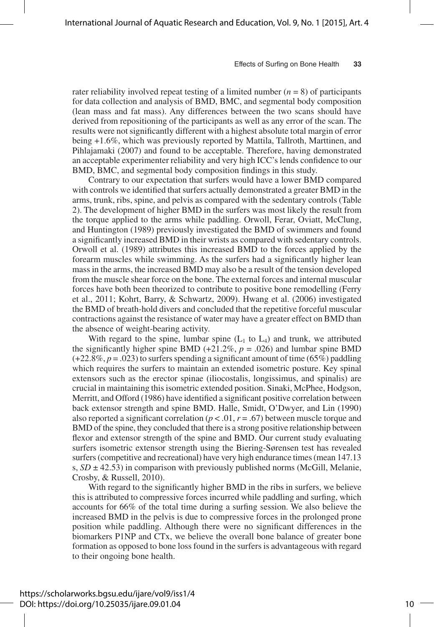rater reliability involved repeat testing of a limited number  $(n = 8)$  of participants for data collection and analysis of BMD, BMC, and segmental body composition (lean mass and fat mass). Any differences between the two scans should have derived from repositioning of the participants as well as any error of the scan. The results were not significantly different with a highest absolute total margin of error being +1.6%, which was previously reported by Mattila, Tallroth, Marttinen, and Pihlajamaki (2007) and found to be acceptable. Therefore, having demonstrated an acceptable experimenter reliability and very high ICC's lends confidence to our BMD, BMC, and segmental body composition findings in this study.

Contrary to our expectation that surfers would have a lower BMD compared with controls we identified that surfers actually demonstrated a greater BMD in the arms, trunk, ribs, spine, and pelvis as compared with the sedentary controls (Table 2). The development of higher BMD in the surfers was most likely the result from the torque applied to the arms while paddling. Orwoll, Ferar, Oviatt, McClung, and Huntington (1989) previously investigated the BMD of swimmers and found a significantly increased BMD in their wrists as compared with sedentary controls. Orwoll et al. (1989) attributes this increased BMD to the forces applied by the forearm muscles while swimming. As the surfers had a significantly higher lean mass in the arms, the increased BMD may also be a result of the tension developed from the muscle shear force on the bone. The external forces and internal muscular forces have both been theorized to contribute to positive bone remodelling (Ferry et al., 2011; Kohrt, Barry, & Schwartz, 2009). Hwang et al. (2006) investigated the BMD of breath-hold divers and concluded that the repetitive forceful muscular contractions against the resistance of water may have a greater effect on BMD than the absence of weight-bearing activity.

With regard to the spine, lumbar spine  $(L_1 \text{ to } L_4)$  and trunk, we attributed the significantly higher spine BMD (+21.2%,  $p = .026$ ) and lumbar spine BMD  $(+22.8\%, p=.023)$  to surfers spending a significant amount of time (65%) paddling which requires the surfers to maintain an extended isometric posture. Key spinal extensors such as the erector spinae (iliocostalis, longissimus, and spinalis) are crucial in maintaining this isometric extended position. Sinaki, McPhee, Hodgson, Merritt, and Offord (1986) have identified a significant positive correlation between back extensor strength and spine BMD. Halle, Smidt, O'Dwyer, and Lin (1990) also reported a significant correlation ( $p < .01$ ,  $r = .67$ ) between muscle torque and BMD of the spine, they concluded that there is a strong positive relationship between flexor and extensor strength of the spine and BMD. Our current study evaluating surfers isometric extensor strength using the Biering-Sørensen test has revealed surfers (competitive and recreational) have very high endurance times (mean 147.13 s,  $SD \pm 42.53$ ) in comparison with previously published norms (McGill, Melanie, Crosby, & Russell, 2010).

With regard to the significantly higher BMD in the ribs in surfers, we believe this is attributed to compressive forces incurred while paddling and surfing, which accounts for 66% of the total time during a surfing session. We also believe the increased BMD in the pelvis is due to compressive forces in the prolonged prone position while paddling. Although there were no significant differences in the biomarkers P1NP and CTx, we believe the overall bone balance of greater bone formation as opposed to bone loss found in the surfers is advantageous with regard to their ongoing bone health.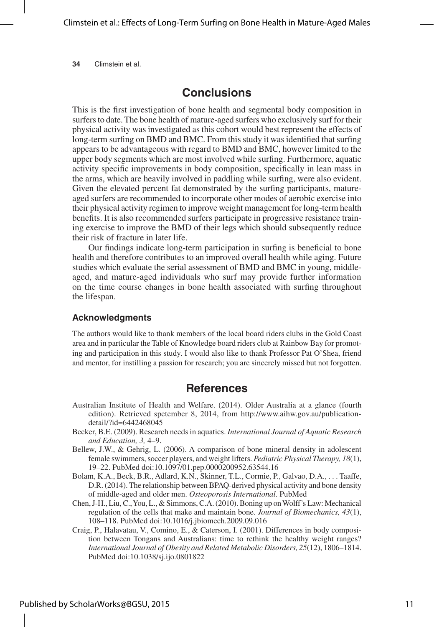# **Conclusions**

This is the first investigation of bone health and segmental body composition in surfers to date. The bone health of mature-aged surfers who exclusively surf for their physical activity was investigated as this cohort would best represent the effects of long-term surfing on BMD and BMC. From this study it was identified that surfing appears to be advantageous with regard to BMD and BMC, however limited to the upper body segments which are most involved while surfing. Furthermore, aquatic activity specific improvements in body composition, specifically in lean mass in the arms, which are heavily involved in paddling while surfing, were also evident. Given the elevated percent fat demonstrated by the surfing participants, matureaged surfers are recommended to incorporate other modes of aerobic exercise into their physical activity regimen to improve weight management for long-term health benefits. It is also recommended surfers participate in progressive resistance training exercise to improve the BMD of their legs which should subsequently reduce their risk of fracture in later life.

Our findings indicate long-term participation in surfing is beneficial to bone health and therefore contributes to an improved overall health while aging. Future studies which evaluate the serial assessment of BMD and BMC in young, middleaged, and mature-aged individuals who surf may provide further information on the time course changes in bone health associated with surfing throughout the lifespan.

#### **Acknowledgments**

The authors would like to thank members of the local board riders clubs in the Gold Coast area and in particular the Table of Knowledge board riders club at Rainbow Bay for promoting and participation in this study. I would also like to thank Professor Pat O'Shea, friend and mentor, for instilling a passion for research; you are sincerely missed but not forgotten.

## **References**

- Australian Institute of Health and Welfare. (2014). Older Australia at a glance (fourth edition). Retrieved spetember 8, 2014, from http://www.aihw.gov.au/publicationdetail/?id=6442468045
- Becker, B.E. (2009). Research needs in aquatics. *International Journal of Aquatic Research and Education, 3,* 4–9.
- Bellew, J.W., & Gehrig, L. (2006). A comparison of bone mineral density in adolescent female swimmers, soccer players, and weight lifters. *Pediatric Physical Therapy, 18*(1), 19–22. PubMed doi:10.1097/01.pep.0000200952.63544.16
- Bolam, K.A., Beck, B.R., Adlard, K.N., Skinner, T.L., Cormie, P., Galvao, D.A., . . . Taaffe, D.R. (2014). The relationship between BPAQ-derived physical activity and bone density of middle-aged and older men. *Osteoporosis International*. PubMed
- Chen, J-H., Liu, C., You, L., & Simmons, C.A. (2010). Boning up on Wolff's Law: Mechanical regulation of the cells that make and maintain bone. *Journal of Biomechanics, 43*(1), 108–118. PubMed doi:10.1016/j.jbiomech.2009.09.016
- Craig, P., Halavatau, V., Comino, E., & Caterson, I. (2001). Differences in body composition between Tongans and Australians: time to rethink the healthy weight ranges? *International Journal of Obesity and Related Metabolic Disorders, 25*(12), 1806–1814. PubMed doi:10.1038/sj.ijo.0801822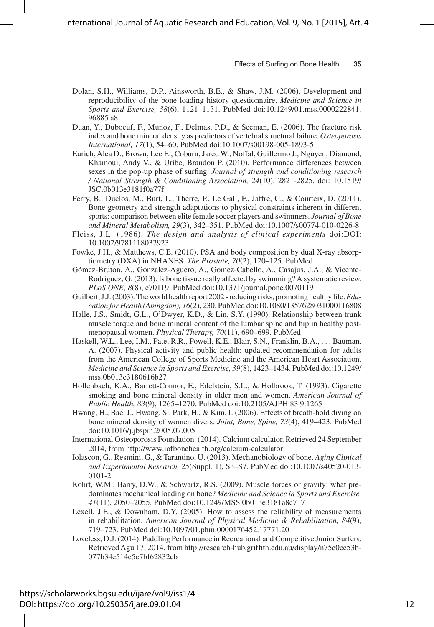- Dolan, S.H., Williams, D.P., Ainsworth, B.E., & Shaw, J.M. (2006). Development and reproducibility of the bone loading history questionnaire. *Medicine and Science in Sports and Exercise, 38*(6), 1121–1131. PubMed doi:10.1249/01.mss.0000222841. 96885.a8
- Duan, Y., Duboeuf, F., Munoz, F., Delmas, P.D., & Seeman, E. (2006). The fracture risk index and bone mineral density as predictors of vertebral structural failure. *Osteoporosis International, 17*(1), 54–60. PubMed doi:10.1007/s00198-005-1893-5
- Eurich, Alea D., Brown, Lee E., Coburn, Jared W., Noffal, Guillermo J., Nguyen, Diamond, Khamoui, Andy V., & Uribe, Brandon P. (2010). Performance differences between sexes in the pop-up phase of surfing. *Journal of strength and conditioning research / National Strength & Conditioning Association, 24*(10), 2821-2825. doi: 10.1519/ JSC.0b013e3181f0a77f
- Ferry, B., Duclos, M., Burt, L., Therre, P., Le Gall, F., Jaffre, C., & Courteix, D. (2011). Bone geometry and strength adaptations to physical constraints inherent in different sports: comparison between elite female soccer players and swimmers. *Journal of Bone and Mineral Metabolism, 29*(3), 342–351. PubMed doi:10.1007/s00774-010-0226-8
- Fleiss, J.L. (1986). *The design and analysis of clinical experiments* doi:DOI: 10.1002/9781118032923
- Fowke, J.H., & Matthews, C.E. (2010). PSA and body composition by dual X-ray absorptiometry (DXA) in NHANES. *The Prostate, 70*(2), 120–125. PubMed
- Gómez-Bruton, A., Gonzalez-Aguero, A., Gomez-Cabello, A., Casajus, J.A., & Vicente-Rodriguez, G. (2013). Is bone tissue really affected by swimming? A systematic review. *PLoS ONE, 8*(8), e70119. PubMed doi:10.1371/journal.pone.0070119
- Guilbert, J.J. (2003). The world health report 2002 reducing risks, promoting healthy life. *Education for Health (Abingdon), 16*(2), 230. PubMed doi:10.1080/1357628031000116808
- Halle, J.S., Smidt, G.L., O'Dwyer, K.D., & Lin, S.Y. (1990). Relationship between trunk muscle torque and bone mineral content of the lumbar spine and hip in healthy postmenopausal women. *Physical Therapy, 70*(11), 690–699. PubMed
- Haskell, W.L., Lee, I.M., Pate, R.R., Powell, K.E., Blair, S.N., Franklin, B.A., . . . Bauman, A. (2007). Physical activity and public health: updated recommendation for adults from the American College of Sports Medicine and the American Heart Association. *Medicine and Science in Sports and Exercise, 39*(8), 1423–1434. PubMed doi:10.1249/ mss.0b013e3180616b27
- Hollenbach, K.A., Barrett-Connor, E., Edelstein, S.L., & Holbrook, T. (1993). Cigarette smoking and bone mineral density in older men and women. *American Journal of Public Health, 83*(9), 1265–1270. PubMed doi:10.2105/AJPH.83.9.1265
- Hwang, H., Bae, J., Hwang, S., Park, H., & Kim, I. (2006). Effects of breath-hold diving on bone mineral density of women divers. *Joint, Bone, Spine, 73*(4), 419–423. PubMed doi:10.1016/j.jbspin.2005.07.005
- International Osteoporosis Foundation. (2014). Calcium calculator. Retrieved 24 September 2014, from http://www.iofbonehealth.org/calcium-calculator
- Iolascon, G., Resmini, G., & Tarantino, U. (2013). Mechanobiology of bone. *Aging Clinical and Experimental Research, 25*(Suppl. 1), S3–S7. PubMed doi:10.1007/s40520-013- 0101-2
- Kohrt, W.M., Barry, D.W., & Schwartz, R.S. (2009). Muscle forces or gravity: what predominates mechanical loading on bone? *Medicine and Science in Sports and Exercise, 41*(11), 2050–2055. PubMed doi:10.1249/MSS.0b013e3181a8c717
- Lexell, J.E., & Downham, D.Y. (2005). How to assess the reliability of measurements in rehabilitation. *American Journal of Physical Medicine & Rehabilitation, 84*(9), 719–723. PubMed doi:10.1097/01.phm.0000176452.17771.20
- Loveless, D.J. (2014). Paddling Performance in Recreational and Competitive Junior Surfers. Retrieved Agu 17, 2014, from http://research-hub.griffith.edu.au/display/n75e0ce53b-077b34e514e5c7bf62832cb

https://scholarworks.bgsu.edu/ijare/vol9/iss1/4 DOI: https://doi.org/10.25035/ijare.09.01.04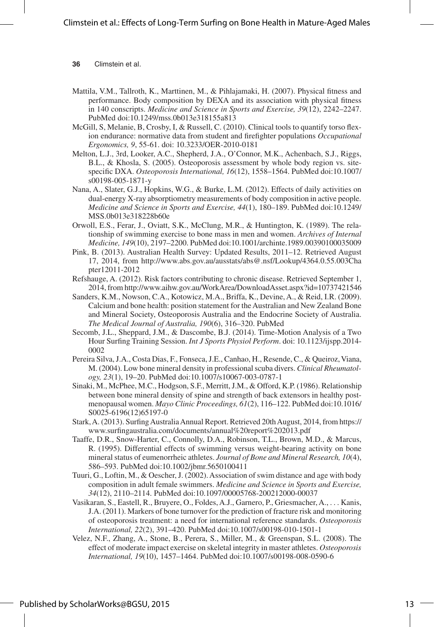- Mattila, V.M., Tallroth, K., Marttinen, M., & Pihlajamaki, H. (2007). Physical fitness and performance. Body composition by DEXA and its association with physical fitness in 140 conscripts. *Medicine and Science in Sports and Exercise, 39*(12), 2242–2247. PubMed doi:10.1249/mss.0b013e318155a813
- McGill, S, Melanie, B, Crosby, I, & Russell, C. (2010). Clinical tools to quantify torso flexion endurance: normative data from student and firefighter populations *Occupational Ergonomics, 9*, 55-61. doi: 10.3233/OER-2010-0181
- Melton, L.J., 3rd, Looker, A.C., Shepherd, J.A., O'Connor, M.K., Achenbach, S.J., Riggs, B.L., & Khosla, S. (2005). Osteoporosis assessment by whole body region vs. sitespecific DXA. *Osteoporosis International, 16*(12), 1558–1564. PubMed doi:10.1007/ s00198-005-1871-y
- Nana, A., Slater, G.J., Hopkins, W.G., & Burke, L.M. (2012). Effects of daily activities on dual-energy X-ray absorptiometry measurements of body composition in active people. *Medicine and Science in Sports and Exercise, 44*(1), 180–189. PubMed doi:10.1249/ MSS.0b013e318228b60e
- Orwoll, E.S., Ferar, J., Oviatt, S.K., McClung, M.R., & Huntington, K. (1989). The relationship of swimming exercise to bone mass in men and women. *Archives of Internal Medicine, 149*(10), 2197–2200. PubMed doi:10.1001/archinte.1989.00390100035009
- Pink, B. (2013). Australian Health Survey: Updated Results, 2011–12. Retrieved August 17, 2014, from http://www.abs.gov.au/ausstats/abs@.nsf/Lookup/4364.0.55.003Cha pter12011-2012
- Refshauge, A. (2012). Risk factors contributing to chronic disease. Retrieved September 1, 2014, from http://www.aihw.gov.au/WorkArea/DownloadAsset.aspx?id=10737421546
- Sanders, K.M., Nowson, C.A., Kotowicz, M.A., Briffa, K., Devine, A., & Reid, I.R. (2009). Calcium and bone health: position statement for the Australian and New Zealand Bone and Mineral Society, Osteoporosis Australia and the Endocrine Society of Australia. *The Medical Journal of Australia, 190*(6), 316–320. PubMed
- Secomb, J.L., Sheppard, J.M., & Dascombe, B.J. (2014). Time-Motion Analysis of a Two Hour Surfing Training Session. *Int J Sports Physiol Perform*. doi: 10.1123/ijspp.2014- 0002
- Pereira Silva, J.A., Costa Dias, F., Fonseca, J.E., Canhao, H., Resende, C., & Queiroz, Viana, M. (2004). Low bone mineral density in professional scuba divers. *Clinical Rheumatology, 23*(1), 19–20. PubMed doi:10.1007/s10067-003-0787-1
- Sinaki, M., McPhee, M.C., Hodgson, S.F., Merritt, J.M., & Offord, K.P. (1986). Relationship between bone mineral density of spine and strength of back extensors in healthy postmenopausal women. *Mayo Clinic Proceedings, 61*(2), 116–122. PubMed doi:10.1016/ S0025-6196(12)65197-0
- Stark, A. (2013). Surfing Australia Annual Report. Retrieved 20th August, 2014, from https:// www.surfingaustralia.com/documents/annual%20report%202013.pdf
- Taaffe, D.R., Snow-Harter, C., Connolly, D.A., Robinson, T.L., Brown, M.D., & Marcus, R. (1995). Differential effects of swimming versus weight-bearing activity on bone mineral status of eumenorrheic athletes. *Journal of Bone and Mineral Research, 10*(4), 586–593. PubMed doi:10.1002/jbmr.5650100411
- Tuuri, G., Loftin, M., & Oescher, J. (2002). Association of swim distance and age with body composition in adult female swimmers. *Medicine and Science in Sports and Exercise, 34*(12), 2110–2114. PubMed doi:10.1097/00005768-200212000-00037
- Vasikaran, S., Eastell, R., Bruyere, O., Foldes, A.J., Garnero, P., Griesmacher, A., . . . Kanis, J.A. (2011). Markers of bone turnover for the prediction of fracture risk and monitoring of osteoporosis treatment: a need for international reference standards. *Osteoporosis International, 22*(2), 391–420. PubMed doi:10.1007/s00198-010-1501-1
- Velez, N.F., Zhang, A., Stone, B., Perera, S., Miller, M., & Greenspan, S.L. (2008). The effect of moderate impact exercise on skeletal integrity in master athletes. *Osteoporosis International, 19*(10), 1457–1464. PubMed doi:10.1007/s00198-008-0590-6